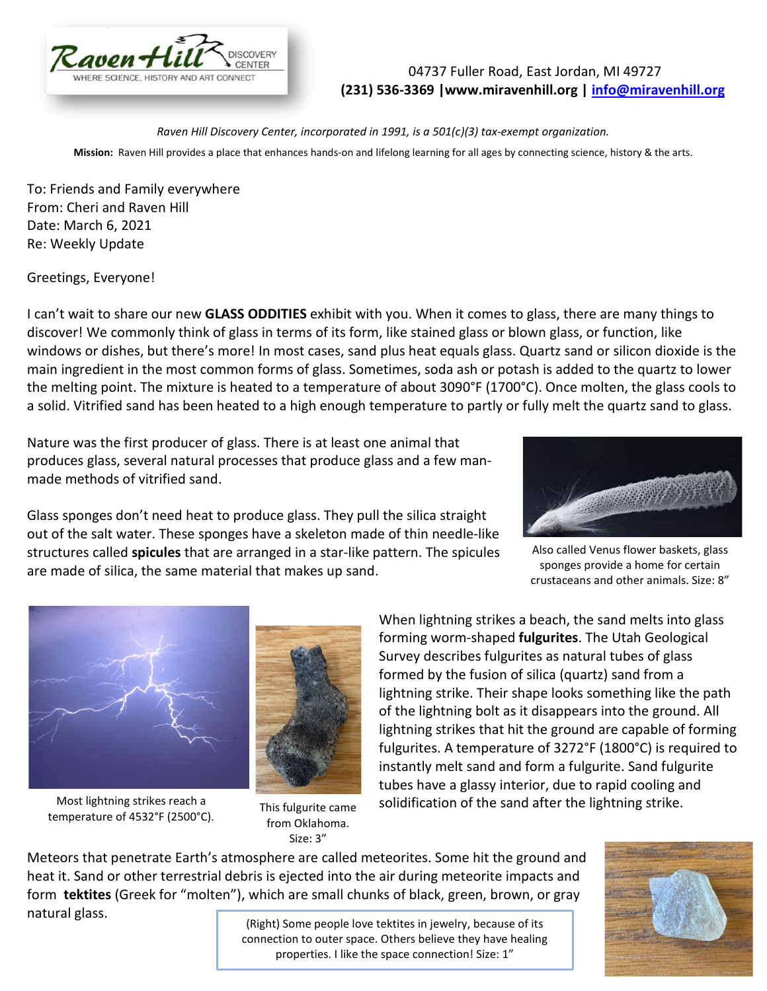

## 04737 Fuller Road, East Jordan, MI 49727 **(231) 536-3369 |www.miravenhill.org | [info@miravenhill.org](mailto:info@miravenhill.org)**

*Raven Hill Discovery Center, incorporated in 1991, is a 501(c)(3) tax-exempt organization.* **Mission:** Raven Hill provides a place that enhances hands-on and lifelong learning for all ages by connecting science, history & the arts.

To: Friends and Family everywhere From: Cheri and Raven Hill Date: March 6, 2021 Re: Weekly Update

Greetings, Everyone!

I can't wait to share our new **GLASS ODDITIES** exhibit with you. When it comes to glass, there are many things to discover! We commonly think of glass in terms of its form, like stained glass or blown glass, or function, like windows or dishes, but there's more! In most cases, sand plus heat equals glass. Quartz sand or silicon [dioxide](https://en.wikipedia.org/wiki/Silicon_dioxide) is the main ingredient in the most common forms of glass. Sometimes, [soda ash](https://en.wikipedia.org/wiki/Soda_ash) or [potash](https://en.wikipedia.org/wiki/Potash) is added to the quartz to lower the melting point. The mixture is heated to a temperature of about 3090°F (1700°C). Once molten, the glass cools to a solid. [Vitrified](https://en.wikipedia.org/wiki/Vitrified) sand has been heated to a high enough temperature to partly or fully melt the quartz sand to glass.

Nature was the first producer of glass. There is at least one animal that produces glass, several natural processes that produce glass and a few manmade methods of vitrified sand.

Glass sponges don't need heat to produce glass. They pull the silica straight out of the salt water. These sponges have a skeleton made of thin needle-like structures called **spicules** that are arranged in a star-like pattern. The spicules are made of silica, the same material that makes up sand.



Also called Venus flower baskets, glass sponges provide a home for certain crustaceans and other animals. Size: 8"



Most lightning strikes reach a temperature of 4532°F (2500°C). This fulgurite came



from Oklahoma. Size: 3"

When lightning strikes a beach, the sand melts into glass forming worm-shaped **fulgurites**. The Utah Geological Survey describes fulgurites as natural tubes of glass formed by the fusion of silica (quartz) sand from a lightning strike. Their shape looks something like the path of the lightning bolt as it disappears into the ground. All lightning strikes that hit the ground are capable of forming fulgurites. A temperature of 3272°F (1800°C) is required to instantly melt sand and form a fulgurite. Sand fulgurite tubes have a glassy interior, due to rapid cooling and solidification of the sand after the lightning strike.

Meteors that penetrate Earth's atmosphere are called meteorites. Some hit the ground and heat it. Sand or other terrestrial debris is ejected into the air during [meteorite impacts](https://en.wikipedia.org/wiki/Meteorite_impact) and form **tektites** (Greek for "molten"), which are small chunks of black, green, brown, or gray

natural [glass.](https://en.wikipedia.org/wiki/Glass)

(Right) Some people love tektites in jewelry, because of its connection to outer space. Others believe they have healing properties. I like the space connection! Size: 1"